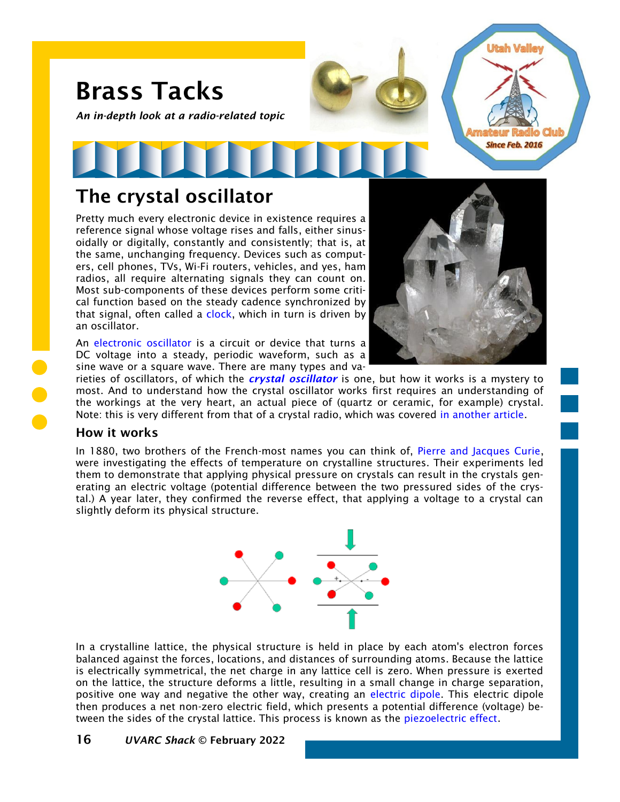

# The crystal oscillator

Pretty much every electronic device in existence requires a reference signal whose voltage rises and falls, either sinusoidally or digitally, constantly and consistently; that is, at the same, unchanging frequency. Devices such as computers, cell phones, TVs, Wi-Fi routers, vehicles, and yes, ham radios, all require alternating signals they can count on. Most sub-components of these devices perform some critical function based on the steady cadence synchronized by that signal, often called a [clock,](https://en.wikipedia.org/wiki/System_time) which in turn is driven by an oscillator.

An [electronic oscillator](https://en.wikipedia.org/wiki/Electronic_oscillator) is a circuit or device that turns a DC voltage into a steady, periodic waveform, such as a sine wave or a square wave. There are many types and va-



rieties of oscillators, of which the *[crystal oscillator](https://en.wikipedia.org/wiki/Crystal_oscillator)* is one, but how it works is a mystery to most. And to understand how the crystal oscillator works first requires an understanding of the workings at the very heart, an actual piece of (quartz or ceramic, for example) crystal. Note: this is very different from that of a crystal radio, which was covered [in another article.](https://noji.com/hamradio/pdf-ppt/noji/Noji-Article-AM-Crystal-Radio.pdf)

#### How it works

In 1880, two brothers of the French-most names you can think of, [Pierre and Jacques Curie,](https://www.aps.org/publications/apsnews/201403/physicshistory.cfm) were investigating the effects of temperature on crystalline structures. Their experiments led them to demonstrate that applying physical pressure on crystals can result in the crystals generating an electric voltage (potential difference between the two pressured sides of the crystal.) A year later, they confirmed the reverse effect, that applying a voltage to a crystal can slightly deform its physical structure.



In a crystalline lattice, the physical structure is held in place by each atom's electron forces balanced against the forces, locations, and distances of surrounding atoms. Because the lattice is electrically symmetrical, the net charge in any lattice cell is zero. When pressure is exerted on the lattice, the structure deforms a little, resulting in a small change in charge separation, positive one way and negative the other way, creating an [electric dipole.](https://en.wikipedia.org/wiki/Electric_dipole_moment) This electric dipole then produces a net non-zero electric field, which presents a potential difference (voltage) between the sides of the crystal lattice. This process is known as the [piezoelectric effect.](https://onscale.com/piezoelectricity/what-is-piezoelectricity/)

#### 16 *UVARC Shack* © February 2022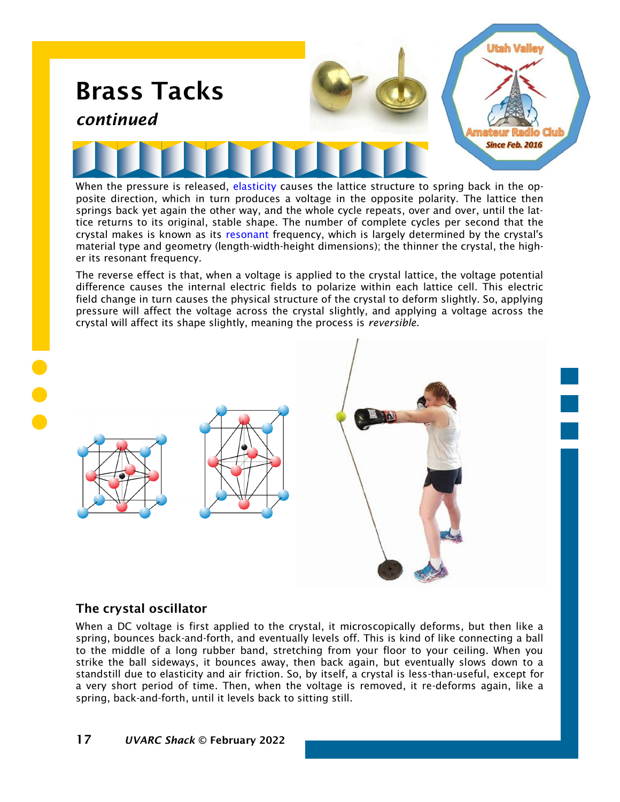

posite direction, which in turn produces a voltage in the opposite polarity. The lattice then springs back yet again the other way, and the whole cycle repeats, over and over, until the lattice returns to its original, stable shape. The number of complete cycles per second that the crystal makes is known as its [resonant](https://en.wikipedia.org/wiki/Resonance) frequency, which is largely determined by the crystal's material type and geometry (length-width-height dimensions); the thinner the crystal, the higher its resonant frequency.

The reverse effect is that, when a voltage is applied to the crystal lattice, the voltage potential difference causes the internal electric fields to polarize within each lattice cell. This electric field change in turn causes the physical structure of the crystal to deform slightly. So, applying pressure will affect the voltage across the crystal slightly, and applying a voltage across the crystal will affect its shape slightly, meaning the process is *reversible*.



## The crystal oscillator

When a DC voltage is first applied to the crystal, it microscopically deforms, but then like a spring, bounces back-and-forth, and eventually levels off. This is kind of like connecting a ball to the middle of a long rubber band, stretching from your floor to your ceiling. When you strike the ball sideways, it bounces away, then back again, but eventually slows down to a standstill due to elasticity and air friction. So, by itself, a crystal is less-than-useful, except for a very short period of time. Then, when the voltage is removed, it re-deforms again, like a spring, back-and-forth, until it levels back to sitting still.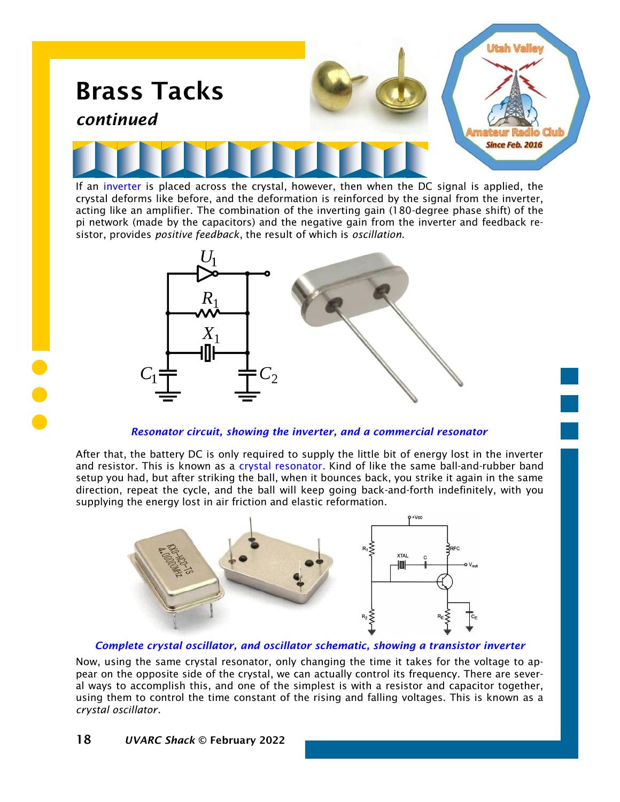![](_page_2_Picture_0.jpeg)

If an [inverter](https://en.wikipedia.org/wiki/Inverter_(logic_gate)) is placed across the crystal, however, then when the DC signal is applied, the crystal deforms like before, and the deformation is reinforced by the signal from the inverter, acting like an amplifier. The combination of the inverting gain (180-degree phase shift) of the pi network (made by the capacitors) and the negative gain from the inverter and feedback resistor, provides *positive feedback*, the result of which is *oscillation*.

![](_page_2_Figure_2.jpeg)

*Resonator circuit, showing the inverter, and a commercial resonator*

After that, the battery DC is only required to supply the little bit of energy lost in the inverter and resistor. This is known as a [crystal resonator.](https://en.wikipedia.org/wiki/Pierce_oscillator#Resonator) Kind of like the same ball-and-rubber band setup you had, but after striking the ball, when it bounces back, you strike it again in the same direction, repeat the cycle, and the ball will keep going back-and-forth indefinitely, with you supplying the energy lost in air friction and elastic reformation.

![](_page_2_Picture_5.jpeg)

*Complete crystal oscillator, and oscillator schematic, showing a transistor inverter*

Now, using the same crystal resonator, only changing the time it takes for the voltage to appear on the opposite side of the crystal, we can actually control its frequency. There are several ways to accomplish this, and one of the simplest is with a resistor and capacitor together, using them to control the time constant of the rising and falling voltages. This is known as a *crystal oscillator*.